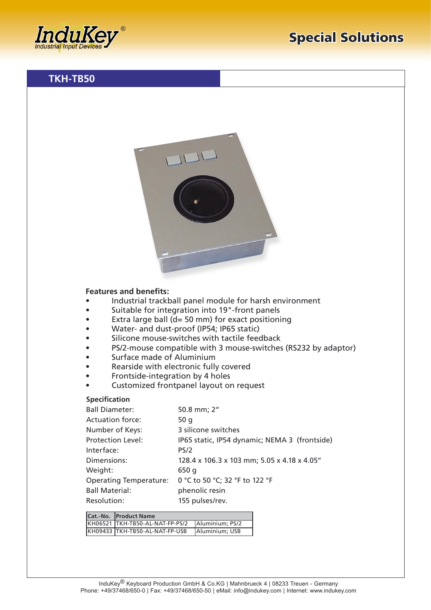

## **Features and benefits:**

- Industrial trackball panel module for harsh environment
- Suitable for integration into 19"-front panels
- Extra large ball ( $d= 50$  mm) for exact positioning
- Water- and dust-proof (IP54; IP65 static)
- Silicone mouse-switches with tactile feedback
- PS/2-mouse compatible with 3 mouse-switches (RS232 by adaptor)
- Surface made of Aluminium
- Rearside with electronic fully covered
- Frontside-integration by 4 holes
- Customized frontpanel layout on request

## **Specification**

| <b>Ball Diameter:</b>         | 50.8 mm; 2"                                   |
|-------------------------------|-----------------------------------------------|
| <b>Actuation force:</b>       | 50 g                                          |
| Number of Keys:               | 3 silicone switches                           |
| <b>Protection Level:</b>      | IP65 static, IP54 dynamic; NEMA 3 (frontside) |
| Interface:                    | PS/2                                          |
| Dimensions:                   | 128.4 x 106.3 x 103 mm; 5.05 x 4.18 x 4.05"   |
| Weight:                       | 650 g                                         |
| <b>Operating Temperature:</b> | 0 °C to 50 °C; 32 °F to 122 °F                |
| <b>Ball Material:</b>         | phenolic resin                                |
| Resolution:                   | 155 pulses/rev.                               |

| Cat.-No. Product Name           |                 |
|---------------------------------|-----------------|
| KH06521 TKH-TB50-AL-NAT-FP-PS/2 | Aluminium: PS/2 |
| KH09433 TKH-TB50-AL-NAT-FP-USB  | Aluminium: USB  |